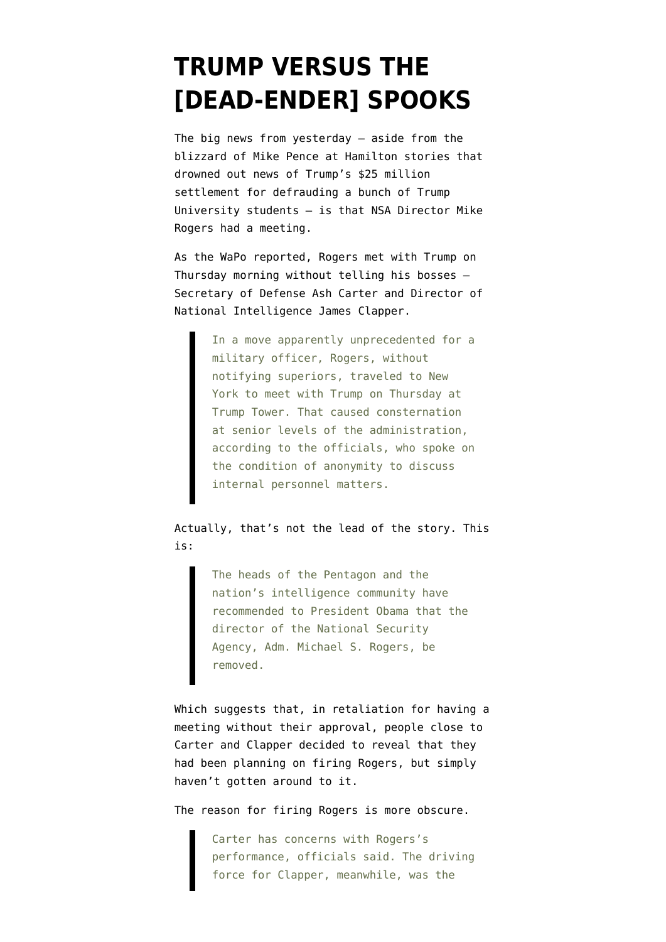## **[TRUMP VERSUS THE](https://www.emptywheel.net/2016/11/20/trump-versus-dead-ender-spooks/) [\[DEAD-ENDER\] SPOOKS](https://www.emptywheel.net/2016/11/20/trump-versus-dead-ender-spooks/)**

The [big news from yesterday](https://www.washingtonpost.com/world/national-security/pentagon-and-intelligence-community-chiefs-have-urged-obama-to-remove-the-head-of-the-nsa/2016/11/19/44de6ea6-adff-11e6-977a-1030f822fc35_story.html) — aside from the blizzard of Mike Pence at Hamilton stories that drowned out news of Trump's \$25 million settlement for defrauding a bunch of Trump University students — is that NSA Director Mike Rogers had a meeting.

As the WaPo [reported](https://www.washingtonpost.com/world/national-security/pentagon-and-intelligence-community-chiefs-have-urged-obama-to-remove-the-head-of-the-nsa/2016/11/19/44de6ea6-adff-11e6-977a-1030f822fc35_story.html), Rogers met with Trump on Thursday morning without telling his bosses — Secretary of Defense Ash Carter and Director of National Intelligence James Clapper.

> In a move apparently unprecedented for a military officer, Rogers, without notifying superiors, traveled to New York to meet with Trump on Thursday at Trump Tower. That caused consternation at senior levels of the administration, according to the officials, who spoke on the condition of anonymity to discuss internal personnel matters.

Actually, that's not the lead of the story. This is:

> The heads of the Pentagon and the nation's intelligence community have recommended to President Obama that the director of the National Security Agency, Adm. Michael S. Rogers, be removed.

Which suggests that, in retaliation for having a meeting without their approval, people close to Carter and Clapper decided to reveal that they had been planning on firing Rogers, but simply haven't gotten around to it.

The reason for firing Rogers is more obscure.

Carter has concerns with Rogers's performance, officials said. The driving force for Clapper, meanwhile, was the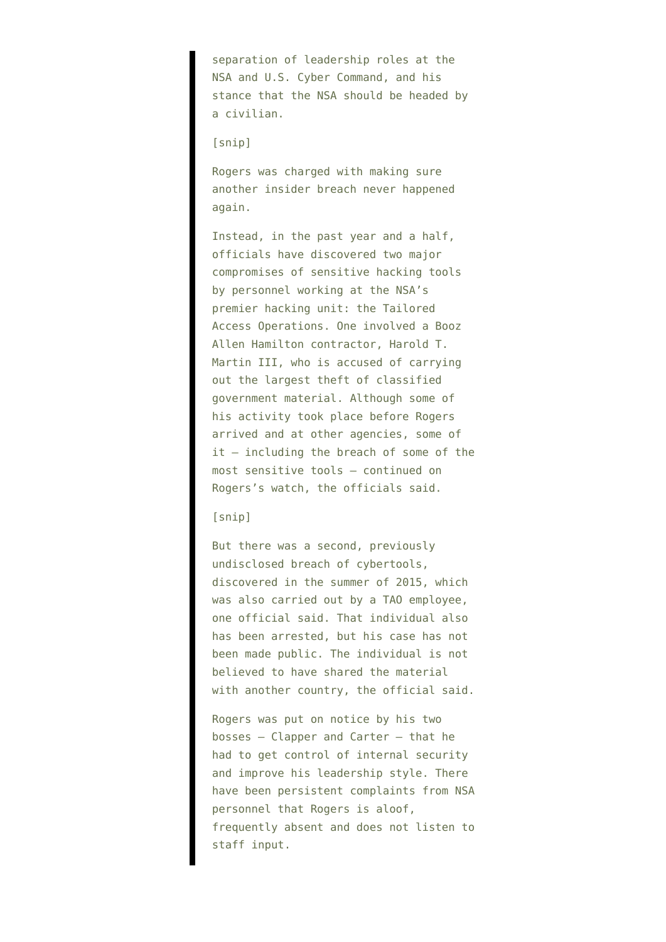separation of leadership roles at the NSA and U.S. Cyber Command, and his stance that the NSA should be headed by a civilian.

## [snip]

Rogers was charged with making sure another insider breach never happened again.

Instead, in the past year and a half, officials have discovered two major compromises of sensitive hacking tools by personnel working at the NSA's premier hacking unit: the Tailored Access Operations. One involved a Booz Allen Hamilton contractor, Harold T. Martin III, who is accused of carrying out the largest theft of classified government material. Although some of his activity took place before Rogers arrived and at other agencies, some of it — including the breach of some of the most sensitive tools — continued on Rogers's watch, the officials said.

## [snip]

But there was a second, previously undisclosed breach of cybertools, discovered in the summer of 2015, which was also carried out by a TAO employee, one official said. That individual also has been arrested, but his case has not been made public. The individual is not believed to have shared the material with another country, the official said.

Rogers was put on notice by his two bosses — Clapper and Carter — that he had to get control of internal security and improve his leadership style. There have been persistent complaints from NSA personnel that Rogers is aloof, frequently absent and does not listen to staff input.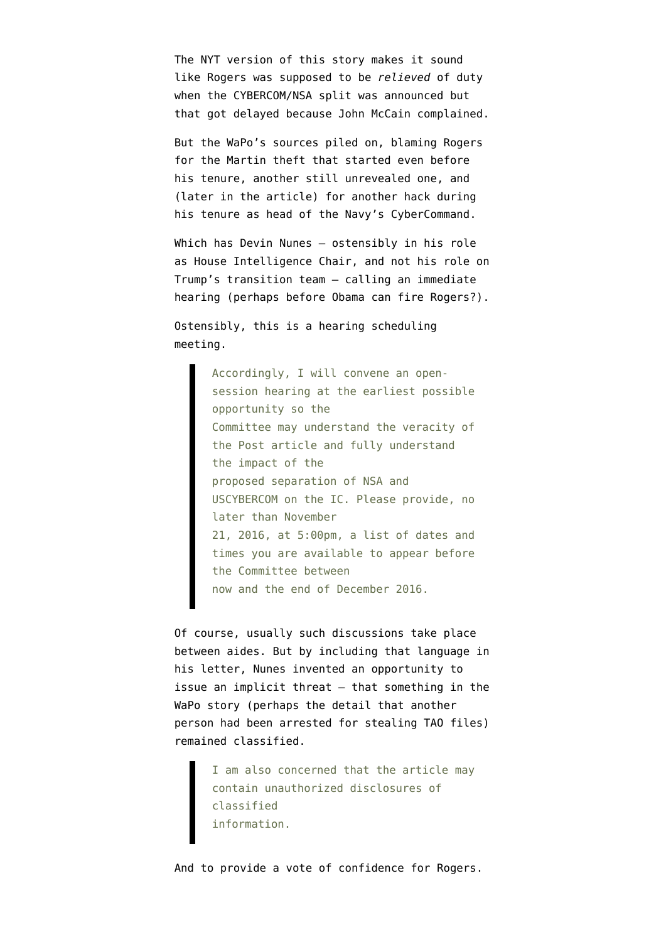The [NYT version](http://www.nytimes.com/2016/11/20/us/politics/obama-remove-nsa-leader-michael-rogers.html?_r=0) of this story makes it sound like Rogers was supposed to be *relieved* of duty when the CYBERCOM/NSA split was announced but that got delayed because John McCain complained.

But the WaPo's sources piled on, blaming Rogers for the Martin theft that started even before his tenure, another still unrevealed one, and (later in the article) for another hack during his tenure as head of the Navy's CyberCommand.

Which has Devin Nunes — ostensibly in his role as House Intelligence Chair, and not his role on Trump's transition team — [calling an immediate](http://intelligence.house.gov/uploadedfiles/chm_ltr_to_secdef_and_dni_re_dirsna_wapo_article_19_nov_16.pdf) [hearing](http://intelligence.house.gov/uploadedfiles/chm_ltr_to_secdef_and_dni_re_dirsna_wapo_article_19_nov_16.pdf) (perhaps before Obama can fire Rogers?).

Ostensibly, this is a hearing scheduling meeting.

> Accordingly, I will convene an opensession hearing at the earliest possible opportunity so the Committee may understand the veracity of the Post article and fully understand the impact of the proposed separation of NSA and USCYBERCOM on the IC. Please provide, no later than November 21, 2016, at 5:00pm, a list of dates and times you are available to appear before the Committee between now and the end of December 2016.

Of course, usually such discussions take place between aides. But by including that language in his letter, Nunes invented an opportunity to issue an implicit threat — that something in the WaPo story (perhaps the detail that another person had been arrested for stealing TAO files) remained classified.

> I am also concerned that the article may contain unauthorized disclosures of classified information.

And to provide a vote of confidence for Rogers.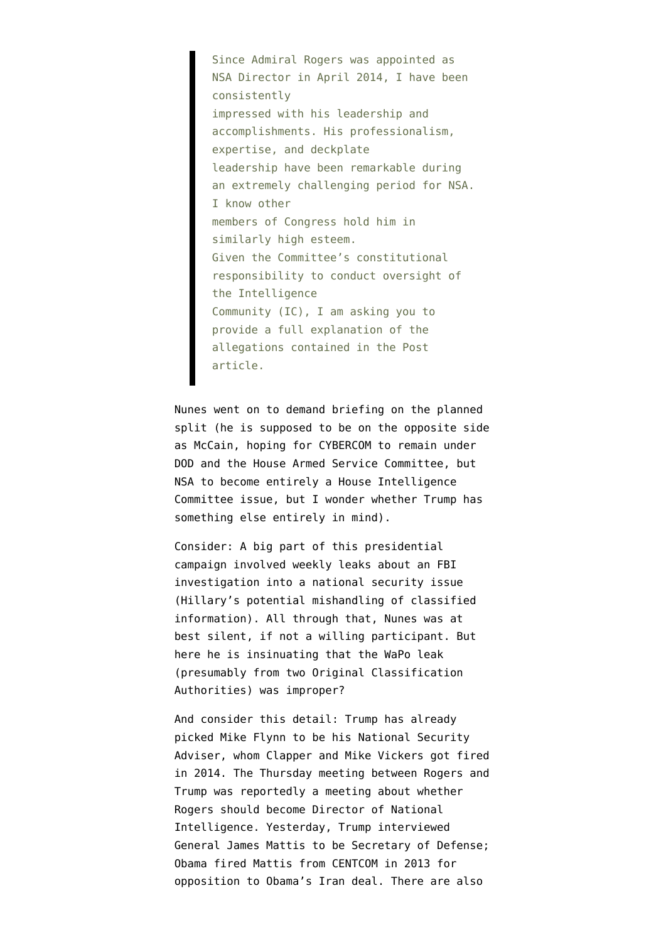Since Admiral Rogers was appointed as NSA Director in April 2014, I have been consistently impressed with his leadership and accomplishments. His professionalism, expertise, and deckplate leadership have been remarkable during an extremely challenging period for NSA. I know other members of Congress hold him in similarly high esteem. Given the Committee's constitutional responsibility to conduct oversight of the Intelligence Community (IC), I am asking you to provide a full explanation of the allegations contained in the Post article.

Nunes went on to demand briefing on the planned split (he is supposed to be on the opposite side as McCain, hoping for CYBERCOM to remain under DOD and the House Armed Service Committee, but NSA to become entirely a House Intelligence Committee issue, but I wonder whether Trump has something else entirely in mind).

Consider: A big part of this presidential campaign involved weekly leaks about an FBI investigation into a national security issue (Hillary's potential mishandling of classified information). All through that, Nunes was at best silent, if not a willing participant. But here he is insinuating that the WaPo leak (presumably from two Original Classification Authorities) was improper?

And consider this detail: Trump has already picked Mike Flynn to be his National Security Adviser, whom Clapper and Mike Vickers [got fired](http://www.politico.com/magazine/story/2016/10/how-mike-flynn-became-americas-angriest-general-214362) in 2014. The Thursday meeting between Rogers and Trump was reportedly a meeting about whether Rogers should become Director of National Intelligence. Yesterday, Trump [interviewed](https://www.c-span.org/video/?418855-101/presidentelect-trump-meeting-general-mattis) General James Mattis to be Secretary of Defense; Obama [fired Mattis](http://foreignpolicy.com/2013/01/18/the-obama-administrations-inexplicable-mishandling-of-marine-gen-james-mattis-2/) from CENTCOM in 2013 for opposition to Obama's Iran deal. There are also